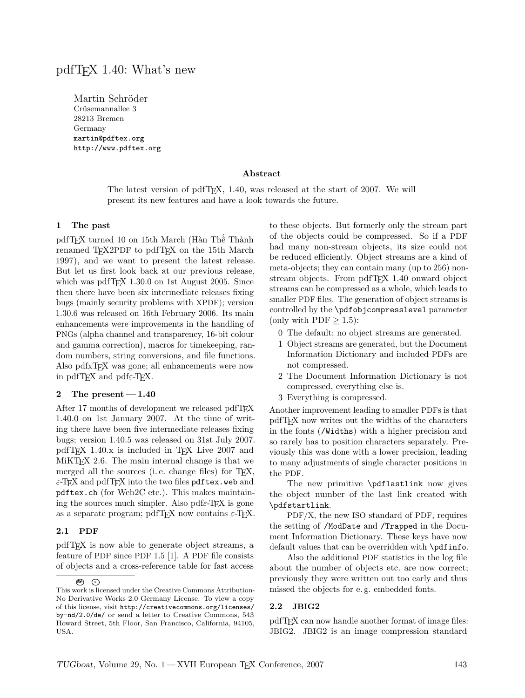# pdfTEX 1.40: What's new

Martin Schröder Crüsemannallee 3 28213 Bremen Germany martin@pdftex.org http://www.pdftex.org

### **Abstract**

The latest version of pdfT<sub>E</sub>X, 1.40, was released at the start of 2007. We will present its new features and have a look towards the future.

#### **1 The past**

pdfTEX turned 10 on 15th March (Hàn Thê´ Thành renamed TEX2PDF to pdfTEX on the 15th March 1997), and we want to present the latest release. But let us first look back at our previous release, which was pdfT $FX$  1.30.0 on 1st August 2005. Since then there have been six intermediate releases fixing bugs (mainly security problems with XPDF); version 1.30.6 was released on 16th February 2006. Its main enhancements were improvements in the handling of PNGs (alpha channel and transparency, 16-bit colour and gamma correction), macros for timekeeping, random numbers, string conversions, and file functions. Also pdfxT<sub>F</sub>X was gone; all enhancements were now in pdfTEX and pdf*ε*-TEX.

#### **2 The present — 1.40**

After 17 months of development we released pdfT<sub>F</sub>X 1.40.0 on 1st January 2007. At the time of writing there have been five intermediate releases fixing bugs; version 1.40.5 was released on 31st July 2007. pdfTEX 1.40.x is included in TEX Live 2007 and MiKTEX 2.6. The main internal change is that we merged all the sources (i.e. change files) for T<sub>F</sub>X, *ε*-TEX and pdfTEX into the two files pdftex.web and pdftex.ch (for Web2C etc.). This makes maintaining the sources much simpler. Also pdf*ε*-TEX is gone as a separate program; pdfTEX now contains  $\varepsilon$ -TEX.

#### **2.1 PDF**

pdfTEX is now able to generate object streams, a feature of PDF since PDF 1.5 [1]. A PDF file consists of objects and a cross-reference table for fast access to these objects. But formerly only the stream part of the objects could be compressed. So if a PDF had many non-stream objects, its size could not be reduced efficiently. Object streams are a kind of meta-objects; they can contain many (up to 256) nonstream objects. From pdfTEX 1.40 onward object streams can be compressed as a whole, which leads to smaller PDF files. The generation of object streams is controlled by the \pdfobjcompresslevel parameter (only with  $PDF \geq 1.5$ ):

- 0 The default; no object streams are generated.
- 1 Object streams are generated, but the Document Information Dictionary and included PDFs are not compressed.
- 2 The Document Information Dictionary is not compressed, everything else is.
- 3 Everything is compressed.

Another improvement leading to smaller PDFs is that pdfTEX now writes out the widths of the characters in the fonts (/Widths) with a higher precision and so rarely has to position characters separately. Previously this was done with a lower precision, leading to many adjustments of single character positions in the PDF.

The new primitive \pdflastlink now gives the object number of the last link created with \pdfstartlink.

PDF/X, the new ISO standard of PDF, requires the setting of /ModDate and /Trapped in the Document Information Dictionary. These keys have now default values that can be overridden with \pdfinfo.

Also the additional PDF statistics in the log file about the number of objects etc. are now correct; previously they were written out too early and thus missed the objects for e. g. embedded fonts.

#### **2.2 JBIG2**

pdfTEX can now handle another format of image files: JBIG2. JBIG2 is an image compression standard

**BY: <sup>=</sup>** This work is licensed under the Creative Commons Attribution-No Derivative Works 2.0 Germany License. To view a copy of this license, visit http://creativecommons.org/licenses/ by-nd/2.0/de/ or send a letter to Creative Commons, 543 Howard Street, 5th Floor, San Francisco, California, 94105, USA.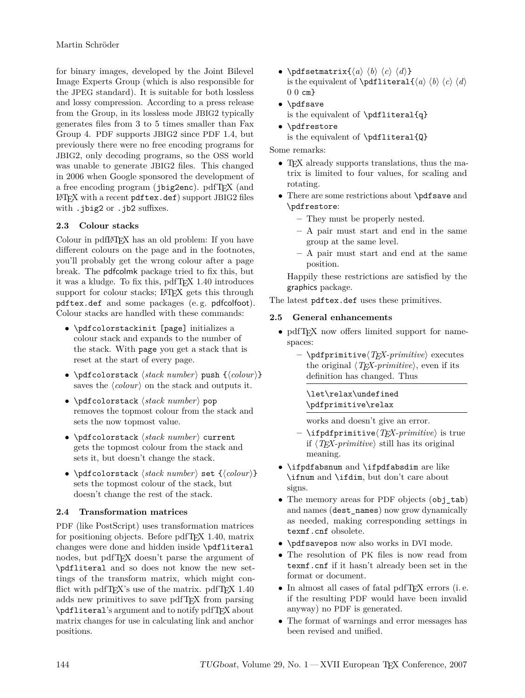for binary images, developed by the Joint Bilevel Image Experts Group (which is also responsible for the JPEG standard). It is suitable for both lossless and lossy compression. According to a press release from the Group, in its lossless mode JBIG2 typically generates files from 3 to 5 times smaller than Fax Group 4. PDF supports JBIG2 since PDF 1.4, but previously there were no free encoding programs for JBIG2, only decoding programs, so the OSS world was unable to generate JBIG2 files. This changed in 2006 when Google sponsored the development of a free encoding program (jbig2enc). pdfTEX (and LATEX with a recent pdftex.def) support JBIG2 files with .jbig2 or .jb2 suffixes.

## **2.3 Colour stacks**

Colour in pdfLATEX has an old problem: If you have different colours on the page and in the footnotes, you'll probably get the wrong colour after a page break. The pdfcolmk package tried to fix this, but it was a kludge. To fix this, pdfTEX 1.40 introduces support for colour stacks; LAT<sub>F</sub>X gets this through pdftex.def and some packages (e. g. pdfcolfoot). Colour stacks are handled with these commands:

- *•* \pdfcolorstackinit [page] initializes a colour stack and expands to the number of the stack. With page you get a stack that is reset at the start of every page.
- $\boldsymbol{\delta}$  \pdfcolorstack *{stack number}* push  $\{\langle colour \rangle\}$ saves the  $\langle colour \rangle$  on the stack and outputs it.
- *\pdfcolorstack*  $\langle stack\ number\rangle$  *pop* removes the topmost colour from the stack and sets the now topmost value.
- \pdfcolorstack *(stack number)* current gets the topmost colour from the stack and sets it, but doesn't change the stack.
- $\boldsymbol{\delta}$  \pdfcolorstack *{stack number}* set  $\{\langle colour \rangle\}$ sets the topmost colour of the stack, but doesn't change the rest of the stack.

## **2.4 Transformation matrices**

PDF (like PostScript) uses transformation matrices for positioning objects. Before pdfT<sub>E</sub>X 1.40, matrix changes were done and hidden inside \pdfliteral nodes, but pdfTEX doesn't parse the argument of \pdfliteral and so does not know the new settings of the transform matrix, which might conflict with pdfT $FX$ 's use of the matrix. pdfT $FX$  1.40 adds new primitives to save pdfTEX from parsing \pdfliteral's argument and to notify pdfTEX about matrix changes for use in calculating link and anchor positions.

- \pdfsetmatrix{ $\langle a \rangle \langle b \rangle \langle c \rangle \langle d \rangle$ } is the equivalent of  $\partial f$  is the equivalent of  $\partial f$  $0 \text{ } 0 \text{ } cm$
- *•* \pdfsave is the equivalent of \pdfliteral{q}
- *•* \pdfrestore
	- is the equivalent of  $\pdfliteral{Q}$

Some remarks:

- TEX already supports translations, thus the matrix is limited to four values, for scaling and rotating.
- *•* There are some restrictions about \pdfsave and \pdfrestore:
	- **–** They must be properly nested.
	- **–** A pair must start and end in the same group at the same level.
	- **–** A pair must start and end at the same position.

Happily these restrictions are satisfied by the graphics package.

The latest pdftex.def uses these primitives.

## **2.5 General enhancements**

- pdfT<sub>EX</sub> now offers limited support for namespaces:
	- **–** \pdfprimitive*hTEX-primitivei* executes the original  $\langle TFX\text{-}primitive\rangle$ , even if its definition has changed. Thus

## \let\relax\undefined \pdfprimitive\relax

works and doesn't give an error.

- $-$  \ifpdfprimitive $\langle T_F X \text{-}primitive \rangle$  is true if  $\langle T_F X \text{-}primitive \rangle$  still has its original meaning.
- *•* \ifpdfabsnum and \ifpdfabsdim are like \ifnum and \ifdim, but don't care about signs.
- The memory areas for PDF objects (obj\_tab) and names (dest\_names) now grow dynamically as needed, making corresponding settings in texmf.cnf obsolete.
- *•* \pdfsavepos now also works in DVI mode.
- *•* The resolution of PK files is now read from texmf.cnf if it hasn't already been set in the format or document.
- In almost all cases of fatal pdfT<sub>E</sub>X errors (i.e. if the resulting PDF would have been invalid anyway) no PDF is generated.
- *•* The format of warnings and error messages has been revised and unified.